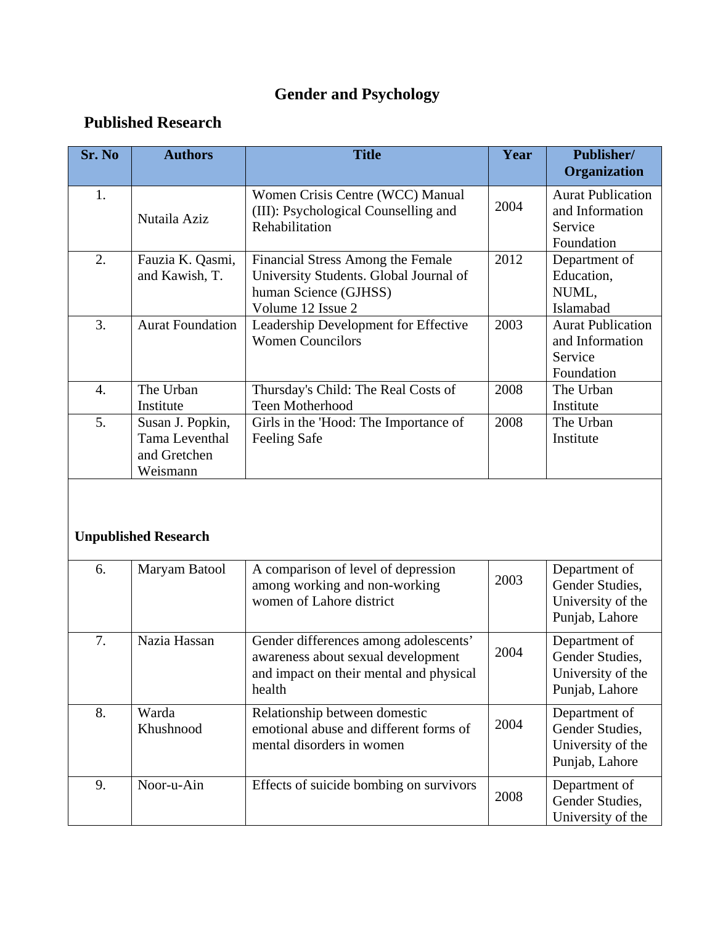## **Gender and Psychology**

## **Published Research**

| Sr. No           | <b>Authors</b>                                                 | <b>Title</b>                                                                                                              | Year | <b>Publisher/</b><br><b>Organization</b>                             |
|------------------|----------------------------------------------------------------|---------------------------------------------------------------------------------------------------------------------------|------|----------------------------------------------------------------------|
| 1.               | Nutaila Aziz                                                   | Women Crisis Centre (WCC) Manual<br>(III): Psychological Counselling and<br>Rehabilitation                                | 2004 | <b>Aurat Publication</b><br>and Information<br>Service<br>Foundation |
| 2.               | Fauzia K. Qasmi,<br>and Kawish, T.                             | Financial Stress Among the Female<br>University Students. Global Journal of<br>human Science (GJHSS)<br>Volume 12 Issue 2 | 2012 | Department of<br>Education,<br>NUML,<br>Islamabad                    |
| 3.               | <b>Aurat Foundation</b>                                        | Leadership Development for Effective<br><b>Women Councilors</b>                                                           | 2003 | <b>Aurat Publication</b><br>and Information<br>Service<br>Foundation |
| $\overline{4}$ . | The Urban<br>Institute                                         | Thursday's Child: The Real Costs of<br><b>Teen Motherhood</b>                                                             | 2008 | The Urban<br>Institute                                               |
| 5.               | Susan J. Popkin,<br>Tama Leventhal<br>and Gretchen<br>Weismann | Girls in the 'Hood: The Importance of<br><b>Feeling Safe</b>                                                              | 2008 | The Urban<br>Institute                                               |
|                  |                                                                |                                                                                                                           |      |                                                                      |

## **Unpublished Research**

| 6. | Maryam Batool      | A comparison of level of depression<br>among working and non-working<br>women of Lahore district                                 | 2003 | Department of<br>Gender Studies.<br>University of the<br>Punjab, Lahore |
|----|--------------------|----------------------------------------------------------------------------------------------------------------------------------|------|-------------------------------------------------------------------------|
| 7. | Nazia Hassan       | Gender differences among adolescents'<br>awareness about sexual development<br>and impact on their mental and physical<br>health | 2004 | Department of<br>Gender Studies.<br>University of the<br>Punjab, Lahore |
| 8. | Warda<br>Khushnood | Relationship between domestic<br>emotional abuse and different forms of<br>mental disorders in women                             | 2004 | Department of<br>Gender Studies,<br>University of the<br>Punjab, Lahore |
| 9. | Noor-u-Ain         | Effects of suicide bombing on survivors                                                                                          | 2008 | Department of<br>Gender Studies,<br>University of the                   |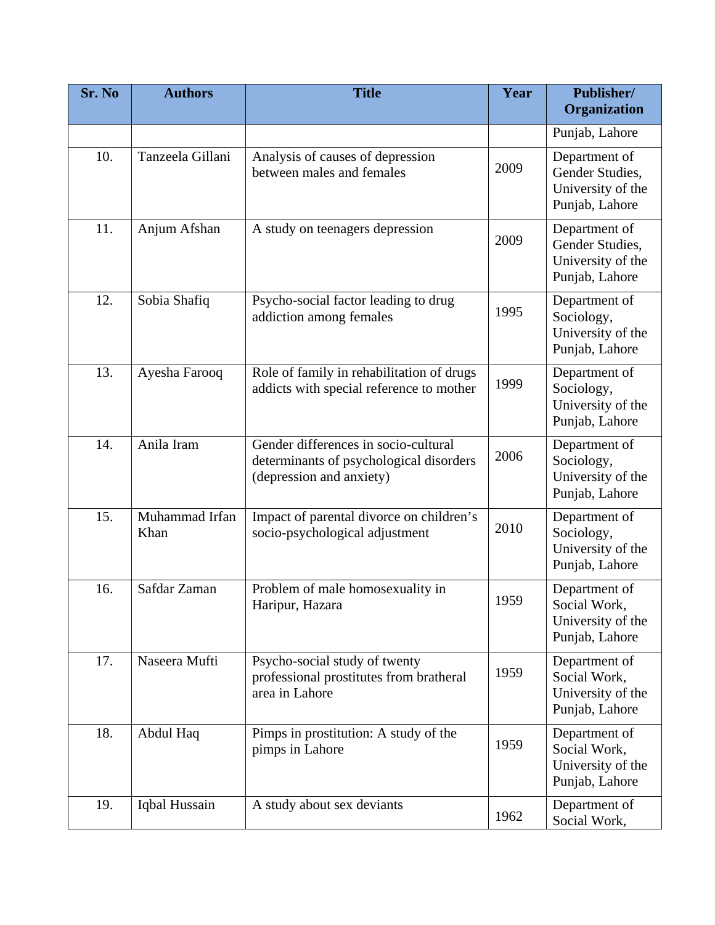| Sr. No | <b>Authors</b>         | <b>Title</b>                                                                                                | Year | Publisher/<br>Organization                                              |
|--------|------------------------|-------------------------------------------------------------------------------------------------------------|------|-------------------------------------------------------------------------|
|        |                        |                                                                                                             |      | Punjab, Lahore                                                          |
| 10.    | Tanzeela Gillani       | Analysis of causes of depression<br>between males and females                                               | 2009 | Department of<br>Gender Studies,<br>University of the<br>Punjab, Lahore |
| 11.    | Anjum Afshan           | A study on teenagers depression                                                                             | 2009 | Department of<br>Gender Studies,<br>University of the<br>Punjab, Lahore |
| 12.    | Sobia Shafiq           | Psycho-social factor leading to drug<br>addiction among females                                             | 1995 | Department of<br>Sociology,<br>University of the<br>Punjab, Lahore      |
| 13.    | Ayesha Farooq          | Role of family in rehabilitation of drugs<br>addicts with special reference to mother                       | 1999 | Department of<br>Sociology,<br>University of the<br>Punjab, Lahore      |
| 14.    | Anila Iram             | Gender differences in socio-cultural<br>determinants of psychological disorders<br>(depression and anxiety) | 2006 | Department of<br>Sociology,<br>University of the<br>Punjab, Lahore      |
| 15.    | Muhammad Irfan<br>Khan | Impact of parental divorce on children's<br>socio-psychological adjustment                                  | 2010 | Department of<br>Sociology,<br>University of the<br>Punjab, Lahore      |
| 16.    | Safdar Zaman           | Problem of male homosexuality in<br>Haripur, Hazara                                                         | 1959 | Department of<br>Social Work,<br>University of the<br>Punjab, Lahore    |
| 17.    | Naseera Mufti          | Psycho-social study of twenty<br>professional prostitutes from bratheral<br>area in Lahore                  | 1959 | Department of<br>Social Work,<br>University of the<br>Punjab, Lahore    |
| 18.    | Abdul Haq              | Pimps in prostitution: A study of the<br>pimps in Lahore                                                    | 1959 | Department of<br>Social Work,<br>University of the<br>Punjab, Lahore    |
| 19.    | Iqbal Hussain          | A study about sex deviants                                                                                  | 1962 | Department of<br>Social Work,                                           |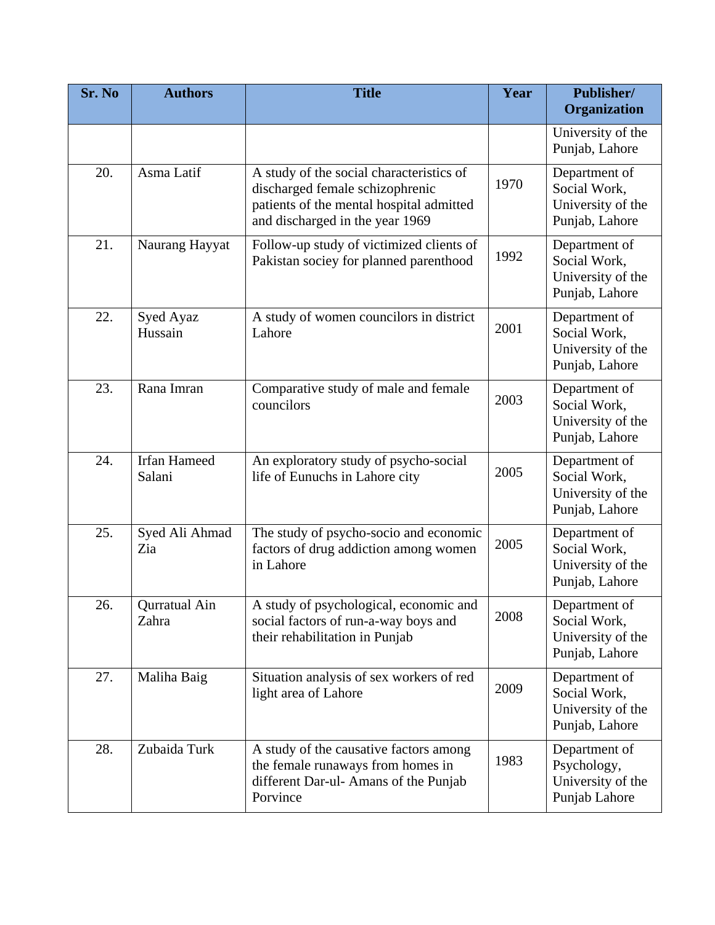| Sr. No | <b>Authors</b>                | <b>Title</b>                                                                                                                                               | Year | Publisher/<br>Organization                                           |
|--------|-------------------------------|------------------------------------------------------------------------------------------------------------------------------------------------------------|------|----------------------------------------------------------------------|
|        |                               |                                                                                                                                                            |      | University of the<br>Punjab, Lahore                                  |
| 20.    | Asma Latif                    | A study of the social characteristics of<br>discharged female schizophrenic<br>patients of the mental hospital admitted<br>and discharged in the year 1969 | 1970 | Department of<br>Social Work,<br>University of the<br>Punjab, Lahore |
| 21.    | Naurang Hayyat                | Follow-up study of victimized clients of<br>Pakistan sociey for planned parenthood                                                                         | 1992 | Department of<br>Social Work,<br>University of the<br>Punjab, Lahore |
| 22.    | Syed Ayaz<br>Hussain          | A study of women councilors in district<br>Lahore                                                                                                          | 2001 | Department of<br>Social Work,<br>University of the<br>Punjab, Lahore |
| 23.    | Rana Imran                    | Comparative study of male and female<br>councilors                                                                                                         | 2003 | Department of<br>Social Work,<br>University of the<br>Punjab, Lahore |
| 24.    | <b>Irfan Hameed</b><br>Salani | An exploratory study of psycho-social<br>life of Eunuchs in Lahore city                                                                                    | 2005 | Department of<br>Social Work,<br>University of the<br>Punjab, Lahore |
| 25.    | Syed Ali Ahmad<br>Zia         | The study of psycho-socio and economic<br>factors of drug addiction among women<br>in Lahore                                                               | 2005 | Department of<br>Social Work,<br>University of the<br>Punjab, Lahore |
| 26.    | Qurratual Ain<br>Zahra        | A study of psychological, economic and<br>social factors of run-a-way boys and<br>their rehabilitation in Punjab                                           | 2008 | Department of<br>Social Work,<br>University of the<br>Punjab, Lahore |
| 27.    | Maliha Baig                   | Situation analysis of sex workers of red<br>light area of Lahore                                                                                           | 2009 | Department of<br>Social Work,<br>University of the<br>Punjab, Lahore |
| 28.    | Zubaida Turk                  | A study of the causative factors among<br>the female runaways from homes in<br>different Dar-ul- Amans of the Punjab<br>Porvince                           | 1983 | Department of<br>Psychology,<br>University of the<br>Punjab Lahore   |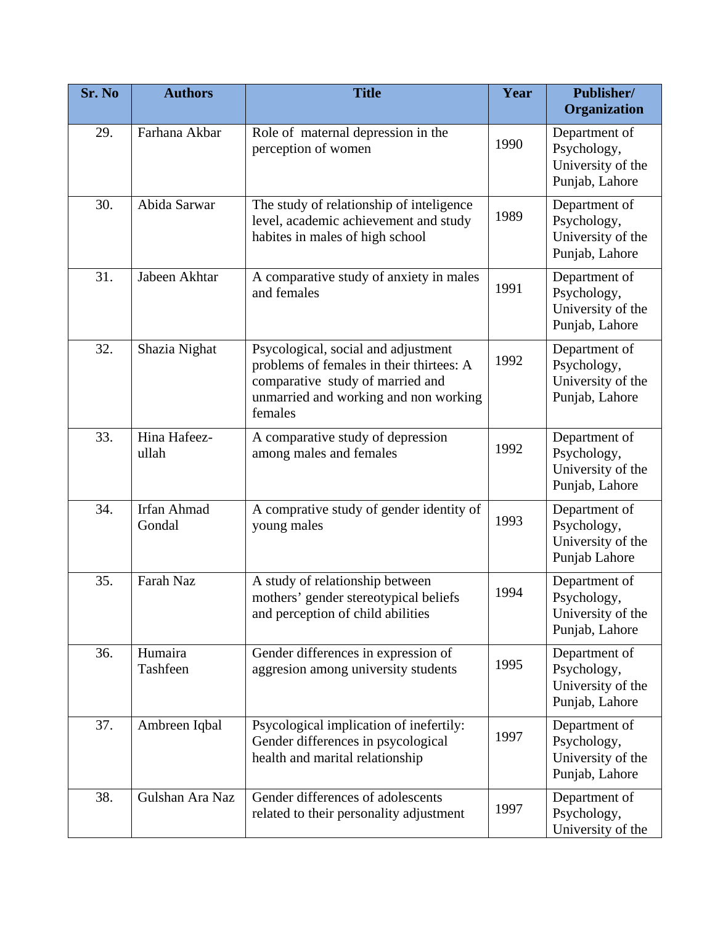| Sr. No | <b>Authors</b>        | <b>Title</b>                                                                                                                                                            | Year | Publisher/<br>Organization                                          |
|--------|-----------------------|-------------------------------------------------------------------------------------------------------------------------------------------------------------------------|------|---------------------------------------------------------------------|
| 29.    | Farhana Akbar         | Role of maternal depression in the<br>perception of women                                                                                                               | 1990 | Department of<br>Psychology,<br>University of the<br>Punjab, Lahore |
| 30.    | Abida Sarwar          | The study of relationship of inteligence<br>level, academic achievement and study<br>habites in males of high school                                                    | 1989 | Department of<br>Psychology,<br>University of the<br>Punjab, Lahore |
| 31.    | Jabeen Akhtar         | A comparative study of anxiety in males<br>and females                                                                                                                  | 1991 | Department of<br>Psychology,<br>University of the<br>Punjab, Lahore |
| 32.    | Shazia Nighat         | Psycological, social and adjustment<br>problems of females in their thirtees: A<br>comparative study of married and<br>unmarried and working and non working<br>females | 1992 | Department of<br>Psychology,<br>University of the<br>Punjab, Lahore |
| 33.    | Hina Hafeez-<br>ullah | A comparative study of depression<br>among males and females                                                                                                            | 1992 | Department of<br>Psychology,<br>University of the<br>Punjab, Lahore |
| 34.    | Irfan Ahmad<br>Gondal | A comprative study of gender identity of<br>young males                                                                                                                 | 1993 | Department of<br>Psychology,<br>University of the<br>Punjab Lahore  |
| 35.    | Farah Naz             | A study of relationship between<br>mothers' gender stereotypical beliefs<br>and perception of child abilities                                                           | 1994 | Department of<br>Psychology,<br>University of the<br>Punjab, Lahore |
| 36.    | Humaira<br>Tashfeen   | Gender differences in expression of<br>aggresion among university students                                                                                              | 1995 | Department of<br>Psychology,<br>University of the<br>Punjab, Lahore |
| 37.    | Ambreen Iqbal         | Psycological implication of inefertily:<br>Gender differences in psycological<br>health and marital relationship                                                        | 1997 | Department of<br>Psychology,<br>University of the<br>Punjab, Lahore |
| 38.    | Gulshan Ara Naz       | Gender differences of adolescents<br>related to their personality adjustment                                                                                            | 1997 | Department of<br>Psychology,<br>University of the                   |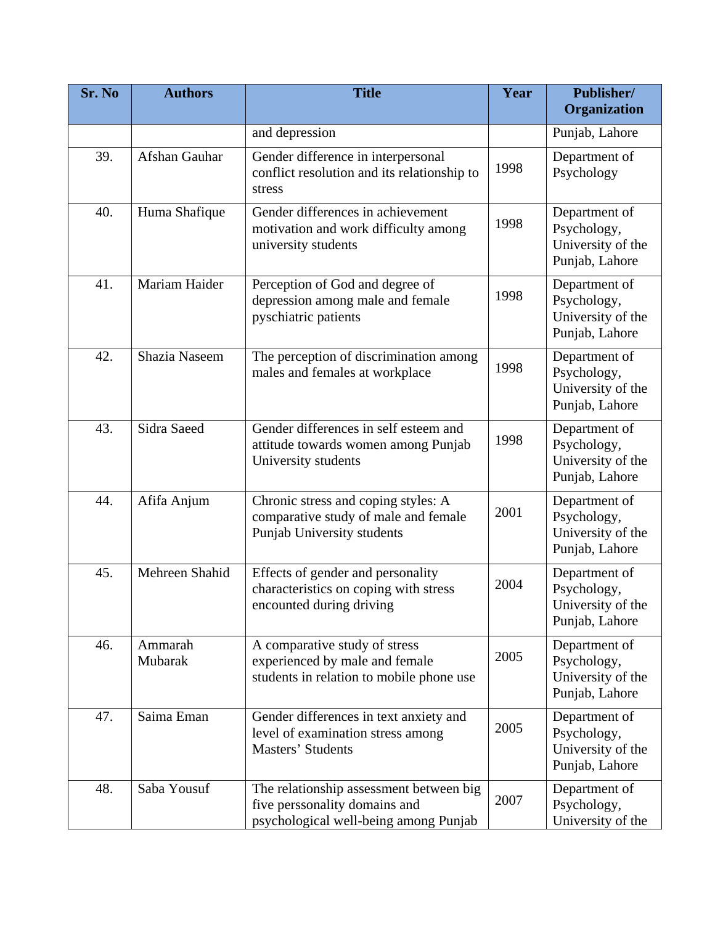| Sr. No | <b>Authors</b>     | <b>Title</b>                                                                                                      | Year | Publisher/<br>Organization                                          |
|--------|--------------------|-------------------------------------------------------------------------------------------------------------------|------|---------------------------------------------------------------------|
|        |                    | and depression                                                                                                    |      | Punjab, Lahore                                                      |
| 39.    | Afshan Gauhar      | Gender difference in interpersonal<br>conflict resolution and its relationship to<br>stress                       | 1998 | Department of<br>Psychology                                         |
| 40.    | Huma Shafique      | Gender differences in achievement<br>motivation and work difficulty among<br>university students                  | 1998 | Department of<br>Psychology,<br>University of the<br>Punjab, Lahore |
| 41.    | Mariam Haider      | Perception of God and degree of<br>depression among male and female<br>pyschiatric patients                       | 1998 | Department of<br>Psychology,<br>University of the<br>Punjab, Lahore |
| 42.    | Shazia Naseem      | The perception of discrimination among<br>males and females at workplace                                          | 1998 | Department of<br>Psychology,<br>University of the<br>Punjab, Lahore |
| 43.    | Sidra Saeed        | Gender differences in self esteem and<br>attitude towards women among Punjab<br>University students               | 1998 | Department of<br>Psychology,<br>University of the<br>Punjab, Lahore |
| 44.    | Afifa Anjum        | Chronic stress and coping styles: A<br>comparative study of male and female<br>Punjab University students         | 2001 | Department of<br>Psychology,<br>University of the<br>Punjab, Lahore |
| 45.    | Mehreen Shahid     | Effects of gender and personality<br>characteristics on coping with stress<br>encounted during driving            | 2004 | Department of<br>Psychology,<br>University of the<br>Punjab, Lahore |
| 46.    | Ammarah<br>Mubarak | A comparative study of stress<br>experienced by male and female<br>students in relation to mobile phone use       | 2005 | Department of<br>Psychology,<br>University of the<br>Punjab, Lahore |
| 47.    | Saima Eman         | Gender differences in text anxiety and<br>level of examination stress among<br>Masters' Students                  | 2005 | Department of<br>Psychology,<br>University of the<br>Punjab, Lahore |
| 48.    | Saba Yousuf        | The relationship assessment between big<br>five perssonality domains and<br>psychological well-being among Punjab | 2007 | Department of<br>Psychology,<br>University of the                   |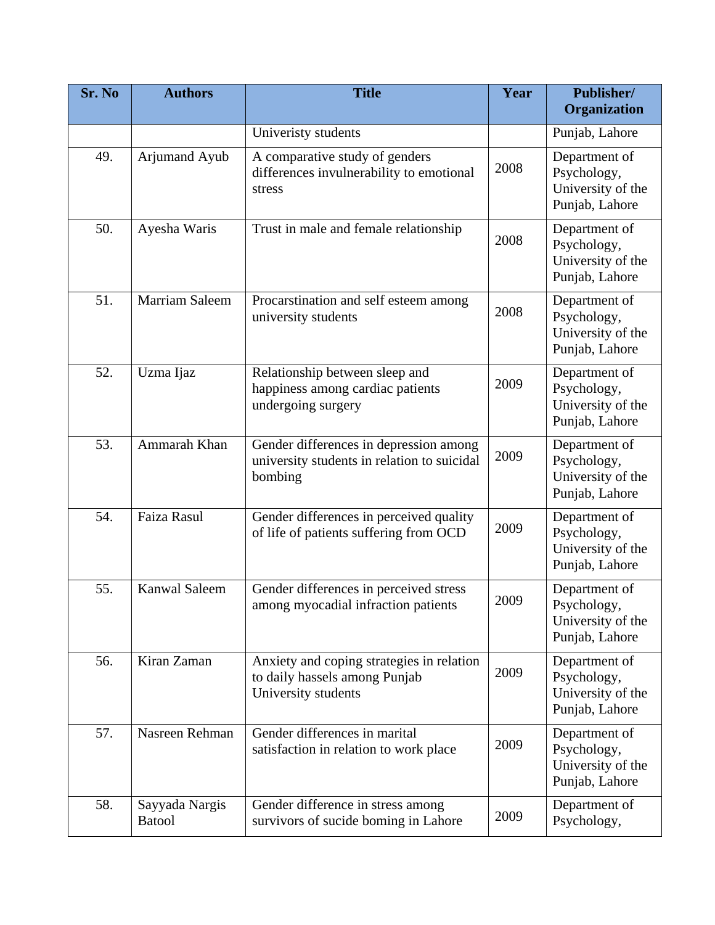| Sr. No | <b>Authors</b>                  | <b>Title</b>                                                                                      | Year | Publisher/<br>Organization                                          |
|--------|---------------------------------|---------------------------------------------------------------------------------------------------|------|---------------------------------------------------------------------|
|        |                                 | Univeristy students                                                                               |      | Punjab, Lahore                                                      |
| 49.    | Arjumand Ayub                   | A comparative study of genders<br>differences invulnerability to emotional<br>stress              | 2008 | Department of<br>Psychology,<br>University of the<br>Punjab, Lahore |
| 50.    | Ayesha Waris                    | Trust in male and female relationship                                                             | 2008 | Department of<br>Psychology,<br>University of the<br>Punjab, Lahore |
| 51.    | <b>Marriam Saleem</b>           | Procarstination and self esteem among<br>university students                                      | 2008 | Department of<br>Psychology,<br>University of the<br>Punjab, Lahore |
| 52.    | Uzma Ijaz                       | Relationship between sleep and<br>happiness among cardiac patients<br>undergoing surgery          | 2009 | Department of<br>Psychology,<br>University of the<br>Punjab, Lahore |
| 53.    | Ammarah Khan                    | Gender differences in depression among<br>university students in relation to suicidal<br>bombing  | 2009 | Department of<br>Psychology,<br>University of the<br>Punjab, Lahore |
| 54.    | Faiza Rasul                     | Gender differences in perceived quality<br>of life of patients suffering from OCD                 | 2009 | Department of<br>Psychology,<br>University of the<br>Punjab, Lahore |
| 55.    | <b>Kanwal Saleem</b>            | Gender differences in perceived stress<br>among myocadial infraction patients                     | 2009 | Department of<br>Psychology,<br>University of the<br>Punjab, Lahore |
| 56.    | Kiran Zaman                     | Anxiety and coping strategies in relation<br>to daily hassels among Punjab<br>University students | 2009 | Department of<br>Psychology,<br>University of the<br>Punjab, Lahore |
| 57.    | Nasreen Rehman                  | Gender differences in marital<br>satisfaction in relation to work place                           | 2009 | Department of<br>Psychology,<br>University of the<br>Punjab, Lahore |
| 58.    | Sayyada Nargis<br><b>Batool</b> | Gender difference in stress among<br>survivors of sucide boming in Lahore                         | 2009 | Department of<br>Psychology,                                        |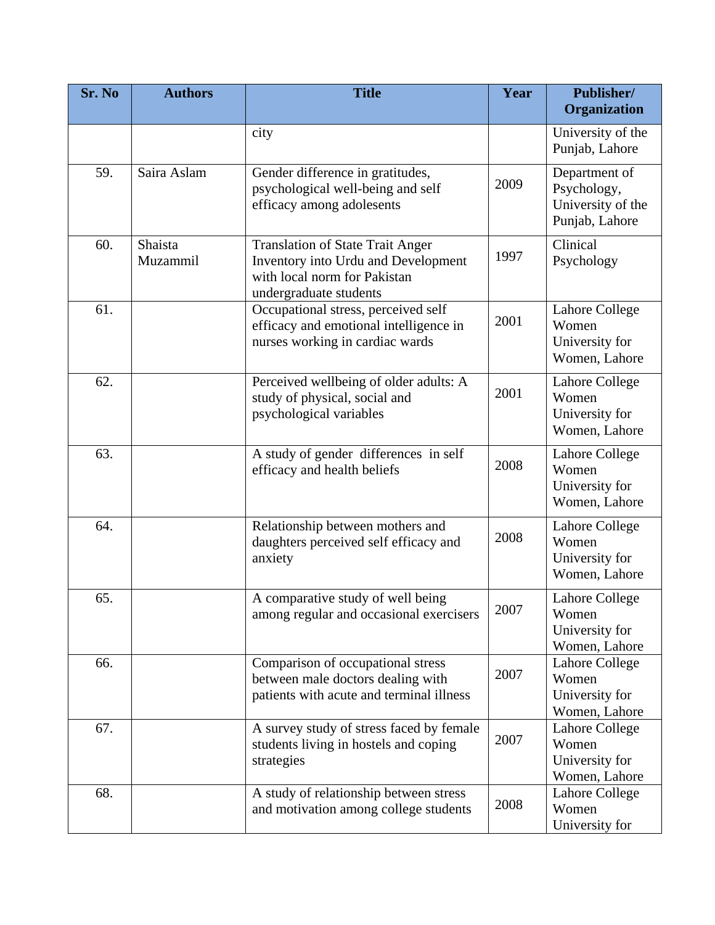| Sr. No | <b>Authors</b>      | <b>Title</b>                                                                                                                             | Year | Publisher/<br>Organization                                          |
|--------|---------------------|------------------------------------------------------------------------------------------------------------------------------------------|------|---------------------------------------------------------------------|
|        |                     | city                                                                                                                                     |      | University of the                                                   |
|        |                     |                                                                                                                                          |      | Punjab, Lahore                                                      |
| 59.    | Saira Aslam         | Gender difference in gratitudes,<br>psychological well-being and self<br>efficacy among adolesents                                       | 2009 | Department of<br>Psychology,<br>University of the<br>Punjab, Lahore |
| 60.    | Shaista<br>Muzammil | <b>Translation of State Trait Anger</b><br>Inventory into Urdu and Development<br>with local norm for Pakistan<br>undergraduate students | 1997 | Clinical<br>Psychology                                              |
| 61.    |                     | Occupational stress, perceived self<br>efficacy and emotional intelligence in<br>nurses working in cardiac wards                         | 2001 | Lahore College<br>Women<br>University for<br>Women, Lahore          |
| 62.    |                     | Perceived wellbeing of older adults: A<br>study of physical, social and<br>psychological variables                                       | 2001 | <b>Lahore College</b><br>Women<br>University for<br>Women, Lahore   |
| 63.    |                     | A study of gender differences in self<br>efficacy and health beliefs                                                                     | 2008 | Lahore College<br>Women<br>University for<br>Women, Lahore          |
| 64.    |                     | Relationship between mothers and<br>daughters perceived self efficacy and<br>anxiety                                                     | 2008 | Lahore College<br>Women<br>University for<br>Women, Lahore          |
| 65.    |                     | A comparative study of well being<br>among regular and occasional exercisers                                                             | 2007 | <b>Lahore College</b><br>Women<br>University for<br>Women, Lahore   |
| 66.    |                     | Comparison of occupational stress<br>between male doctors dealing with<br>patients with acute and terminal illness                       | 2007 | Lahore College<br>Women<br>University for<br>Women, Lahore          |
| 67.    |                     | A survey study of stress faced by female<br>students living in hostels and coping<br>strategies                                          | 2007 | Lahore College<br>Women<br>University for<br>Women, Lahore          |
| 68.    |                     | A study of relationship between stress<br>and motivation among college students                                                          | 2008 | Lahore College<br>Women<br>University for                           |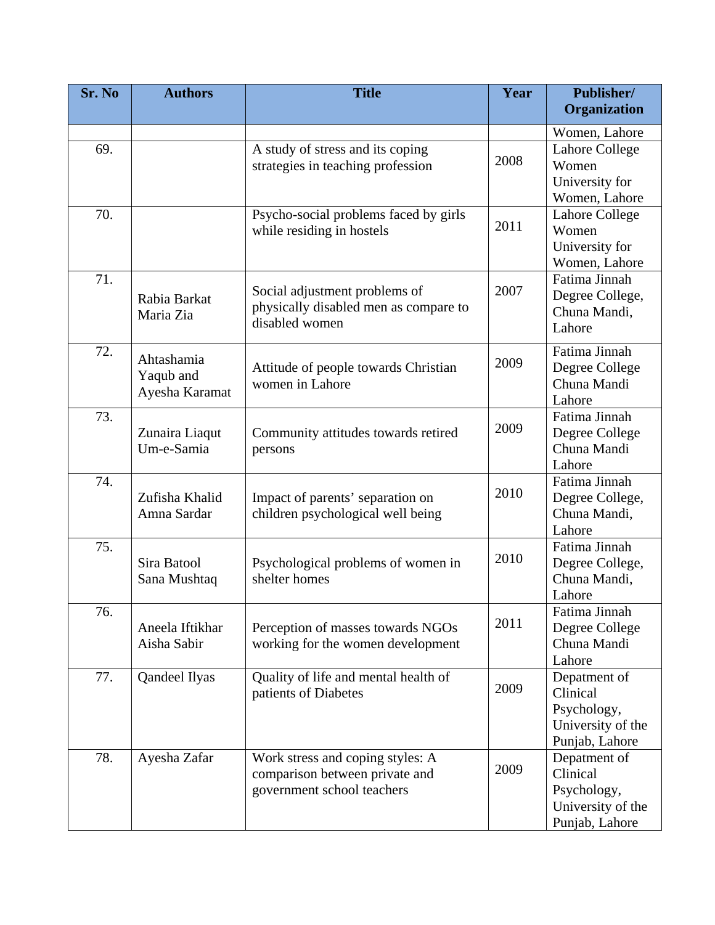| Sr. No | <b>Authors</b>                            | <b>Title</b>                                                                                     | Year | Publisher/<br>Organization                                                     |
|--------|-------------------------------------------|--------------------------------------------------------------------------------------------------|------|--------------------------------------------------------------------------------|
|        |                                           |                                                                                                  |      | Women, Lahore                                                                  |
| 69.    |                                           | A study of stress and its coping<br>strategies in teaching profession                            | 2008 | <b>Lahore College</b><br>Women<br>University for<br>Women, Lahore              |
| 70.    |                                           | Psycho-social problems faced by girls<br>while residing in hostels                               | 2011 | <b>Lahore College</b><br>Women<br>University for<br>Women, Lahore              |
| 71.    | Rabia Barkat<br>Maria Zia                 | Social adjustment problems of<br>physically disabled men as compare to<br>disabled women         | 2007 | Fatima Jinnah<br>Degree College,<br>Chuna Mandi,<br>Lahore                     |
| 72.    | Ahtashamia<br>Yaqub and<br>Ayesha Karamat | Attitude of people towards Christian<br>women in Lahore                                          | 2009 | Fatima Jinnah<br>Degree College<br>Chuna Mandi<br>Lahore                       |
| 73.    | Zunaira Liaqut<br>Um-e-Samia              | Community attitudes towards retired<br>persons                                                   | 2009 | Fatima Jinnah<br>Degree College<br>Chuna Mandi<br>Lahore                       |
| 74.    | Zufisha Khalid<br>Amna Sardar             | Impact of parents' separation on<br>children psychological well being                            | 2010 | Fatima Jinnah<br>Degree College,<br>Chuna Mandi,<br>Lahore                     |
| 75.    | Sira Batool<br>Sana Mushtaq               | Psychological problems of women in<br>shelter homes                                              | 2010 | Fatima Jinnah<br>Degree College,<br>Chuna Mandi,<br>Lahore                     |
| 76.    | Aneela Iftikhar<br>Aisha Sabir            | Perception of masses towards NGOs<br>working for the women development                           | 2011 | Fatima Jinnah<br>Degree College<br>Chuna Mandi<br>Lahore                       |
| 77.    | Qandeel Ilyas                             | Quality of life and mental health of<br>patients of Diabetes                                     | 2009 | Depatment of<br>Clinical<br>Psychology,<br>University of the<br>Punjab, Lahore |
| 78.    | Ayesha Zafar                              | Work stress and coping styles: A<br>comparison between private and<br>government school teachers | 2009 | Depatment of<br>Clinical<br>Psychology,<br>University of the<br>Punjab, Lahore |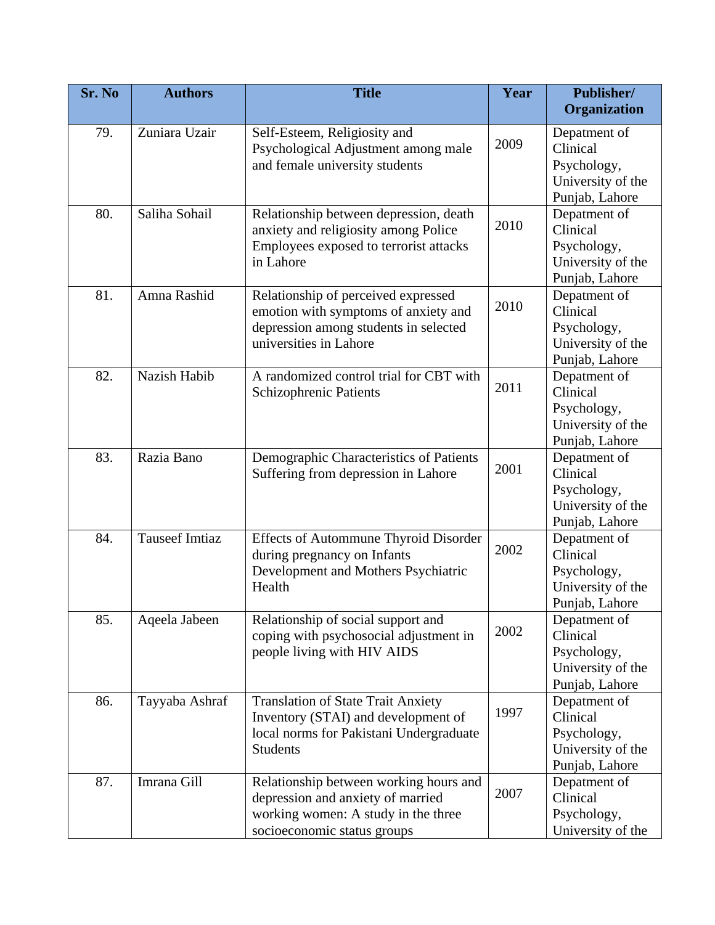| Sr. No | <b>Authors</b>        | <b>Title</b>                                                                                                                                      | Year | Publisher/<br>Organization                                                     |
|--------|-----------------------|---------------------------------------------------------------------------------------------------------------------------------------------------|------|--------------------------------------------------------------------------------|
| 79.    | Zuniara Uzair         | Self-Esteem, Religiosity and<br>Psychological Adjustment among male<br>and female university students                                             | 2009 | Depatment of<br>Clinical<br>Psychology,<br>University of the<br>Punjab, Lahore |
| 80.    | Saliha Sohail         | Relationship between depression, death<br>anxiety and religiosity among Police<br>Employees exposed to terrorist attacks<br>in Lahore             | 2010 | Depatment of<br>Clinical<br>Psychology,<br>University of the<br>Punjab, Lahore |
| 81.    | Amna Rashid           | Relationship of perceived expressed<br>emotion with symptoms of anxiety and<br>depression among students in selected<br>universities in Lahore    | 2010 | Depatment of<br>Clinical<br>Psychology,<br>University of the<br>Punjab, Lahore |
| 82.    | Nazish Habib          | A randomized control trial for CBT with<br>Schizophrenic Patients                                                                                 | 2011 | Depatment of<br>Clinical<br>Psychology,<br>University of the<br>Punjab, Lahore |
| 83.    | Razia Bano            | Demographic Characteristics of Patients<br>Suffering from depression in Lahore                                                                    | 2001 | Depatment of<br>Clinical<br>Psychology,<br>University of the<br>Punjab, Lahore |
| 84.    | <b>Tauseef Imtiaz</b> | <b>Effects of Autommune Thyroid Disorder</b><br>during pregnancy on Infants<br>Development and Mothers Psychiatric<br>Health                      | 2002 | Depatment of<br>Clinical<br>Psychology,<br>University of the<br>Punjab, Lahore |
| 85.    | Aqeela Jabeen         | Relationship of social support and<br>coping with psychosocial adjustment in<br>people living with HIV AIDS                                       | 2002 | Depatment of<br>Clinical<br>Psychology,<br>University of the<br>Punjab, Lahore |
| 86.    | Tayyaba Ashraf        | <b>Translation of State Trait Anxiety</b><br>Inventory (STAI) and development of<br>local norms for Pakistani Undergraduate<br><b>Students</b>    | 1997 | Depatment of<br>Clinical<br>Psychology,<br>University of the<br>Punjab, Lahore |
| 87.    | Imrana Gill           | Relationship between working hours and<br>depression and anxiety of married<br>working women: A study in the three<br>socioeconomic status groups | 2007 | Depatment of<br>Clinical<br>Psychology,<br>University of the                   |